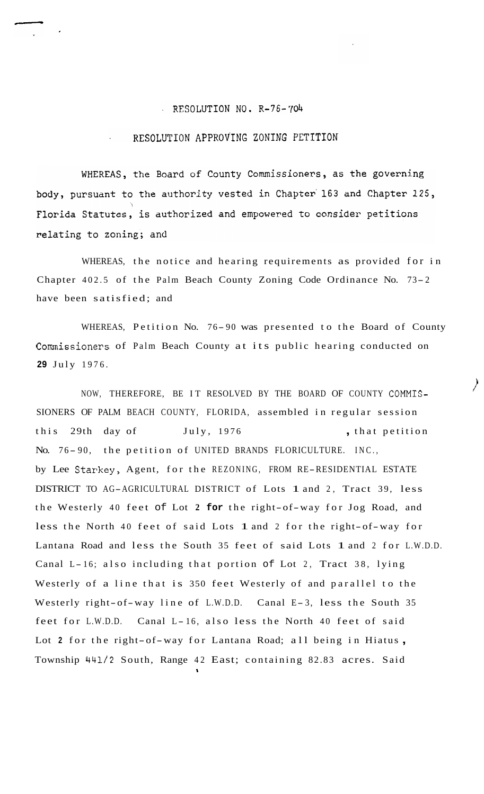## RESOLUTION NO. R-76-704

## RESOLUTION APPROVING ZONING PETITION

WHEREAS, the Board of County Commissioners, as the governing body, pursuant to the authority vested in Chapter 163 and Chapter 125, Florida Statutes, is authorized and empowered to consider petitions relating to zoning; and

WHEREAS, the notice and hearing requirements as provided for in Chapter 402.5 of the Palm Beach County Zoning Code Ordinance No. 73-2 have been satisfied; and

WHEREAS, Petition No. 76- 90 was presented to the Board of County Commissioners of Palm Beach County at its public hearing conducted on **29** July 1976.

NOW, THEREFORE, BE IT RESOLVED BY THE BOARD OF COUNTY COMMIS-SIONERS OF PALM BEACH COUNTY, FLORIDA, assembled in regular session this 29th day of July, 1976 , that petition No. 76-90, the petition of UNITED BRANDS FLORICULTURE. INC., by Lee Starkey, Agent, for the REZONING, FROM RE-RESIDENTIAL ESTATE DISTRICT TO AG-AGRICULTURAL DISTRICT of Lots 1 and 2, Tract 39, less the Westerly 40 feet of Lot **2 for** the right-of-way for Jog Road, and less the North 40 feet of said Lots 1 and 2 for the right-of-way for Lantana Road and less the South 35 feet of said Lots 1 and 2 for L.W.D.D. Canal L- 16; also including that portion of Lot 2, Tract 38, lying Westerly of a line that is 350 feet Westerly of and parallel to the Westerly right-of-way line of L.W.D.D. Canal E-3, less the South 35 feet for L.W.D.D. Canal L- 16, also less the North 40 feet of said Lot 2 for the right-of-way for Lantana Road; all being in Hiatus, Township 441/2 South, Range 42 East; containing 82.83 acres. Said